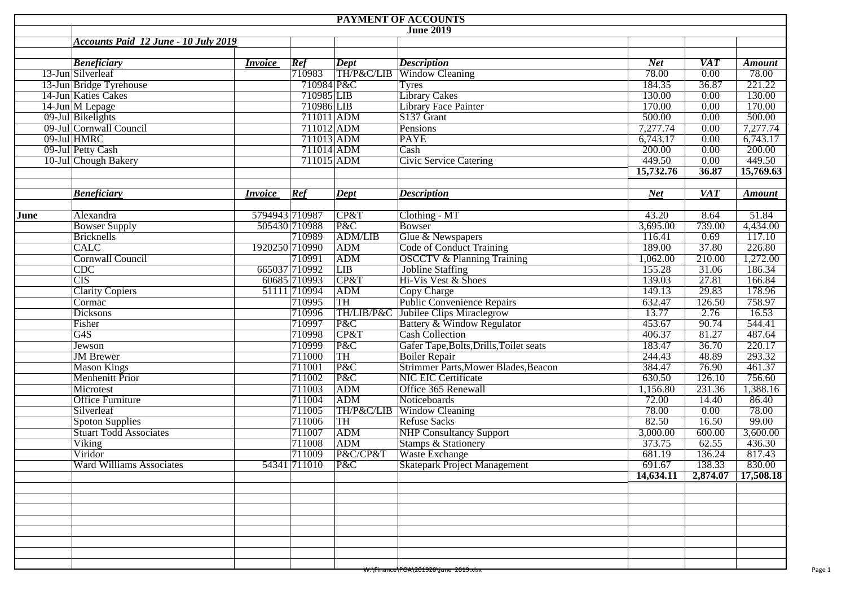| <b>PAYMENT OF ACCOUNTS</b> |                                           |                |              |                |                                                           |            |                   |               |  |  |  |  |
|----------------------------|-------------------------------------------|----------------|--------------|----------------|-----------------------------------------------------------|------------|-------------------|---------------|--|--|--|--|
|                            |                                           |                |              |                | <b>June 2019</b>                                          |            |                   |               |  |  |  |  |
|                            | Accounts Paid 12 June - 10 July 2019      |                |              |                |                                                           |            |                   |               |  |  |  |  |
|                            |                                           |                |              |                |                                                           |            |                   |               |  |  |  |  |
|                            | <b>Beneficiary</b>                        | <i>Invoice</i> | Ref          | Dept           | <b>Description</b>                                        | <b>Net</b> | <b>VAT</b>        | <b>Amount</b> |  |  |  |  |
|                            | 13-Jun Silverleaf                         |                | 710983       |                | TH/P&C/LIB Window Cleaning                                | 78.00      | $\overline{0.00}$ | 78.00         |  |  |  |  |
|                            | 13-Jun Bridge Tyrehouse                   |                | 710984 P&C   |                | <b>Tyres</b>                                              | 184.35     | 36.87             | 221.22        |  |  |  |  |
|                            | 14-Jun Katies Cakes                       |                | 710985 LIB   |                | <b>Library Cakes</b>                                      | 130.00     | 0.00              | 130.00        |  |  |  |  |
|                            | 14-Jun M Lepage                           |                | 710986 LIB   |                | Library Face Painter                                      | 170.00     | 0.00              | 170.00        |  |  |  |  |
|                            | 09-Jul Bikelights                         |                | 711011 ADM   |                | $S137$ Grant                                              | 500.00     | 0.00              | 500.00        |  |  |  |  |
|                            | 09-Jul Cornwall Council                   |                | 711012 ADM   |                | Pensions                                                  | 7,277.74   | 0.00              | 7,277.74      |  |  |  |  |
|                            | 09-Jul HMRC                               |                | 711013 ADM   |                | <b>PAYE</b>                                               | 6,743.17   | 0.00              | 6,743.17      |  |  |  |  |
|                            | 09-Jul Petty Cash                         |                | 711014 ADM   |                | Cash                                                      | 200.00     | 0.00              | 200.00        |  |  |  |  |
|                            | 10-Jul Chough Bakery                      |                | 711015 ADM   |                | <b>Civic Service Catering</b>                             | 449.50     | 0.00              | 449.50        |  |  |  |  |
|                            |                                           |                |              |                |                                                           | 15,732.76  | 36.87             | 15,769.63     |  |  |  |  |
|                            |                                           |                |              |                |                                                           |            |                   |               |  |  |  |  |
|                            | <b>Beneficiary</b>                        | <i>Invoice</i> | Ref          | Dept           | <b>Description</b>                                        | <b>Net</b> | $\overline{VAT}$  | <b>Amount</b> |  |  |  |  |
|                            |                                           |                |              |                |                                                           |            |                   |               |  |  |  |  |
| June                       | Alexandra                                 | 5794943 710987 |              | CP&T           | Clothing - MT                                             | 43.20      | 8.64              | 51.84         |  |  |  |  |
|                            |                                           | 505430 710988  |              | P&C            | Bowser                                                    | 3,695.00   | 739.00            | 4,434.00      |  |  |  |  |
|                            | <b>Bowser Supply</b><br><b>Bricknells</b> |                | 710989       | <b>ADM/LIB</b> |                                                           | 116.41     | 0.69              | 117.10        |  |  |  |  |
|                            | CALC                                      |                |              |                | Glue & Newspapers                                         | 189.00     | 37.80             | 226.80        |  |  |  |  |
|                            |                                           | 1920250 710990 |              | ADM            | <b>Code of Conduct Training</b>                           |            |                   |               |  |  |  |  |
|                            | <b>Cornwall Council</b>                   |                | 710991       | ADM            | <b>OSCCTV &amp; Planning Training</b><br>Jobline Staffing | 1,062.00   | 210.00            | 1,272.00      |  |  |  |  |
|                            | $\overline{\text{CDC}}$                   | 665037 710992  |              | LIB            |                                                           | 155.28     | 31.06             | 186.34        |  |  |  |  |
|                            | $\overline{\text{CIS}}$                   |                | 60685 710993 | CP&T           | Hi-Vis Vest & Shoes                                       | 139.03     | 27.81             | 166.84        |  |  |  |  |
|                            | <b>Clarity Copiers</b>                    |                | 51111 710994 | ADM            | Copy Charge                                               | 149.13     | 29.83             | 178.96        |  |  |  |  |
|                            | Cormac                                    |                | 710995       | TH             | <b>Public Convenience Repairs</b>                         | 632.47     | 126.50            | 758.97        |  |  |  |  |
|                            | <b>Dicksons</b>                           |                | 710996       |                | TH/LIB/P&C Jubilee Clips Miraclegrow                      | 13.77      | 2.76              | 16.53         |  |  |  |  |
|                            | Fisher                                    |                | 710997       | P&C            | Battery & Window Regulator                                | 453.67     | 90.74             | 544.41        |  |  |  |  |
|                            | $\overline{G4S}$                          |                | 710998       | CP&T           | Cash Collection                                           | 406.37     | 81.27             | 487.64        |  |  |  |  |
|                            | Jewson                                    |                | 710999       | P&C            | Gafer Tape, Bolts, Drills, Toilet seats                   | 183.47     | 36.70             | 220.17        |  |  |  |  |
|                            | <b>JM</b> Brewer                          |                | 711000       | TH             | <b>Boiler Repair</b>                                      | 244.43     | 48.89             | 293.32        |  |  |  |  |
|                            | <b>Mason Kings</b>                        |                | 711001       | P&C            | Strimmer Parts, Mower Blades, Beacon                      | 384.47     | 76.90             | 461.37        |  |  |  |  |
|                            | <b>Menhenitt Prior</b>                    |                | 711002       | P&C            | <b>NIC EIC Certificate</b>                                | 630.50     | 126.10            | 756.60        |  |  |  |  |
|                            | Microtest                                 |                | 711003       | ADM            | Office 365 Renewall                                       | 1,156.80   | 231.36            | 1,388.16      |  |  |  |  |
|                            | <b>Office Furniture</b>                   |                | 711004       | ADM            | Noticeboards                                              | 72.00      | 14.40             | 86.40         |  |  |  |  |
|                            | Silverleaf                                |                | 711005       |                | TH/P&C/LIB Window Cleaning                                | 78.00      | 0.00              | 78.00         |  |  |  |  |
|                            | <b>Spoton Supplies</b>                    |                | 711006       | TH             | <b>Refuse Sacks</b>                                       | 82.50      | 16.50             | 99.00         |  |  |  |  |
|                            | <b>Stuart Todd Associates</b>             |                | 711007       | ADM            | <b>NHP Consultancy Support</b>                            | 3,000.00   | 600.00            | 3,600.00      |  |  |  |  |
|                            | Viking                                    |                | 711008       | ADM            | <b>Stamps &amp; Stationery</b>                            | 373.75     | 62.55             | 436.30        |  |  |  |  |
|                            | Viridor                                   |                | 711009       | P&C/CP&T       | Waste Exchange                                            | 681.19     | 136.24            | 817.43        |  |  |  |  |
|                            | <b>Ward Williams Associates</b>           |                | 54341 711010 |                |                                                           | 691.67     | 138.33            | 830.00        |  |  |  |  |
|                            |                                           |                |              | $ P\&C$        | Skatepark Project Management                              | 14,634.11  | 2,874.07          | 17,508.18     |  |  |  |  |
|                            |                                           |                |              |                |                                                           |            |                   |               |  |  |  |  |
|                            |                                           |                |              |                |                                                           |            |                   |               |  |  |  |  |
|                            |                                           |                |              |                |                                                           |            |                   |               |  |  |  |  |
|                            |                                           |                |              |                |                                                           |            |                   |               |  |  |  |  |
|                            |                                           |                |              |                |                                                           |            |                   |               |  |  |  |  |
|                            |                                           |                |              |                |                                                           |            |                   |               |  |  |  |  |
|                            |                                           |                |              |                |                                                           |            |                   |               |  |  |  |  |
|                            |                                           |                |              |                |                                                           |            |                   |               |  |  |  |  |
|                            |                                           |                |              |                |                                                           |            |                   |               |  |  |  |  |